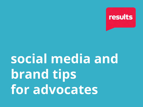results

# **social media and brand tips for advocates**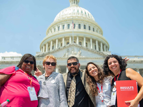#### **RESULTS**

Begara

Childer

WITHERTT

**SHILL HUILL** 

 $SC$ 

Yelenda<br>Gordon

**TANKING**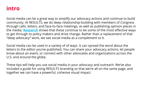### **intro**

Social media can be a great way to amplify our advocacy actions and continue to build community. At RESULTS, we do deep relationship-building with members of Congress through calls, letters, and face-to-face meetings, as well as publishing opinion pieces in the media. **[Research](https://www.congressfoundation.org/projects/communicating-with-congress/citizen-centric-advocacy-2017)** shows that these continue to be some of the most effective ways to get through to policy makers and drive change. Rather than a replacement of that "deep advocacy" work, we see social media as a complement to it.

Social media can be used in a variety of of ways. It can spread the word about the letters to the editor you've published. You can share your advocacy actions, let people know about an event, or connect with other advocates and organizations across the U.S. and around the globe.

These tips will help you use social media in your advocacy and outreach. We've also included a guide for using RESULTS branding so that we're all on the same page, and together we can have a powerful, cohesive visual impact.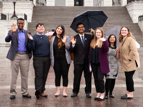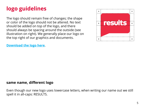# **logo guidelines**

The logo should remain free of changes; the shape or color of the logo should not be altered. No text should be added on top of the logo, and there should always be spacing around the outside (see illustration on right). We generally place our logo on the top right of our graphics and documents.

**[Download the logo here](https://results.org/volunteers/marketing-materials/)**.



#### **same name, different logo**

Even though our new logo uses lowercase letters, when writing our name out we still spell it in all-caps: RESULTS.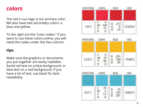# **colors**

The red in our logo is our primary color. We also have two secondary colors: a blue and yellow.

To the right are the "color codes." if you want to use these colors online, you will need the codes under the Hex column.

#### **tips:**

Make sure the graphics or documents you put together are easily readable. Avoid red text on a blue background, or blue text on a red background. If you have a lot of text, use black for best readability.

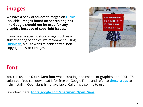# **images**

We have a bank of advocacy images on **[Flickr](https://www.flickr.com/photos/results_ref/albums)** available. **Images found on search engines like Google should not be used for any graphics because of copyright issues.** 

If you need a specific stock image, such as a sunset or bag of apples, we recommend using **[Unsplash](https://unsplash.com/)**, a huge website bank of free, noncopyrighted stock images.



## **font**

You can use the **Open Sans font** when creating documents or graphics as a RESULTS volunteer. You can download it for free on Google Fonts and refer to **[these steps](https://www.wikihow.com/Install-Fonts-on-Your-PC)** to help install. If Open Sans is not available, Calibri is also fine to use.

Download here: **[fonts.google.com/specimen/Open+Sans](https://fonts.google.com/specimen/Open+Sans)**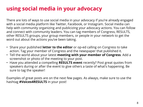# **using social media in your advocacy**

There are lots of ways to use social media in your advocacy if you're already engaged with a social media platform like Twitter, Facebook, or Instagram. Social media can help with community organizing and publicizing your advocacy actions. You can follow and connect with community leaders. You can tag members of Congress, RESULTS, other RESULTS groups, your group members, or people in your network to get the word out about the actions you've been taking.

- Share your published **letter to the editor** or op-ed calling on Congress to take action. Tag your member of Congress and the newspaper that published it.
- Tell the world about your latest **meeting with your member of Congress**. Add a screenshot or photo of the meeting to your post.
- Have you attended a compelling **RESULTS event** recently? Post great quotes from speakers during or after the event to give others a taste of what's happening. Be sure to tag the speaker!

Examples of great posts are on the next few pages. As always, make sure to use the hashtag **#Voices4RESULTS** in your post!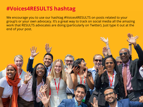# **#Voices4RESULTS hashtag**

We encourage you to use our hashtag #Voices4RESULTS on posts related to your group's or your own advocacy. It's a great way to track on social media all the amazing work that RESULTS advocates are doing (particularly on Twitter). Just type it out at the end of your post.

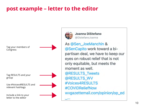# **post example – letter to the editor**

Tag your members of Congress

Tag RESULTS and your group

Use #Voices4RESULTS and relevant hashtags



Include a link to your letter to the editor



Joanna DiStefano @DistefanoJoanna

As @Sen\_JoeManchin & @SenCapito work toward a bipartisan deal, we have to keep our eyes on robust relief that is not only equitable, but meets the moment as well @RESULTS\_Tweets @RESULTS\_WV #Voices4RESULTS #COVIDReliefNow wygazettemail.com/opinion/op\_ed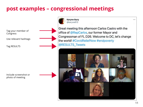# **post examples – congressional meetings**

Tag your member of Congress

Use relevant hashtags

Tag RESULTS

Include screenshot or photo of meeting



**Karyne Bury** @karyne612

Great meeting this afternoon Carlos Castro with the office of @RepCarlos, our former Mayor and Congressman of FL D26. Welcome to DC, let's change the world! #CovidReliefNow #endpoverty @RESULTS\_Tweets



 $...$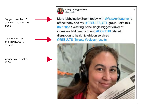Tag your member of Congress and RESULTS group

Tag RESULTS, use #Voices4RESULTS hashtag

Include screenshot or photo



**Cindy Changyit Levin** @ccylevin

More lobbying by Zoom today with @RepAnnWagner's office today and my @RESULTS\_STL group. Let's talk #nutrition! Wasting is the single biggest driver of increase child deaths during #COVID19 related disruption to health&nutrition services @RESULTS\_Tweets #voices4results



...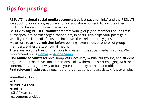# **tips for posting**

- RESULTS **national social media accounts** (see last page for links) and the RESULTS Facebook group are a great place to find and share content. Follow the other RESULTS chapters on social media too!
- Be sure to **tag RESULTS volunteers** from your group (and members of Congress, guest speakers, partner organizations, etc) in posts. This helps your posts gain visibility in social media feeds and increases the likelihood they get shared.
- Make sure to **ask permission** before posting screenshots or photos of group members, staffers, etc. on social media.
- There are multiple **free online tools** to create simple social media graphics. We recommend trying **[Canva](https://www.canva.com/)** or **[Adobe Spark](https://spark.adobe.com/)**.
- Find **online accounts** for local nonprofits, activists, mutual aid groups, and student organizations that have similar missions. Follow them and start engaging with their content. This is a great way to build your community both on and offline!
- Find **relevant hashtags** through other organizations and activists. A few examples:

#RentReliefNow  $#FITC$ #ChildTaxCredit #EndTB #SNAPMatters #savemomsandkids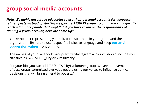# **group social media accounts**

*Note: We highly encourage advocates to use their personal accounts for advocacyrelated posts instead of starting a separate RESULTS group account. You can typically reach a lot more people that way! But if you have taken on the responsibility of running a group account, here are some tips.*

- You're not just representing yourself, but also others in your group and the organization. Be sure to use respectful, inclusive language and keep **[our anti](https://results.org/our-anti-oppression-values/)[oppression values](https://results.org/our-anti-oppression-values/)** front of mind.
- The names of your Facebook Group/Twitter/Instagram accounts should include your city such as: @RESULTS\_City or @resultscity.
- For your bio, you can add "RESULTS [city] volunteer group. We are a movement of passionate, committed everyday people using our voices to influence political decisions that will bring an end to poverty."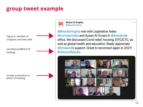# **group tweet example**



Use #Voices4RESULTS hashtag



Include screenshot or photo of meeting



**RESULTS Virginia** @ResultsVirginia

@ResultsVirginia met with Legislative Aides **@normanmellis and Ausan Al-Eryani in @timkaine's** office. We discussed Covid relief, housing, EITC/CTC, as well as global health and education. Really appreciate @timkaine's support. Great to reconnect again in 2021! #Voices4Results



...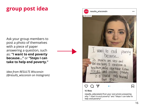# **group post idea**

Ask your group members to post a photo of themselves with a piece of paper answering a question, such as: **"I want to end poverty because..."** or **"Steps I can take to help end poverty."**

*Idea from RESULTS Wisconsin (@results\_wisconsin on Instagram)*